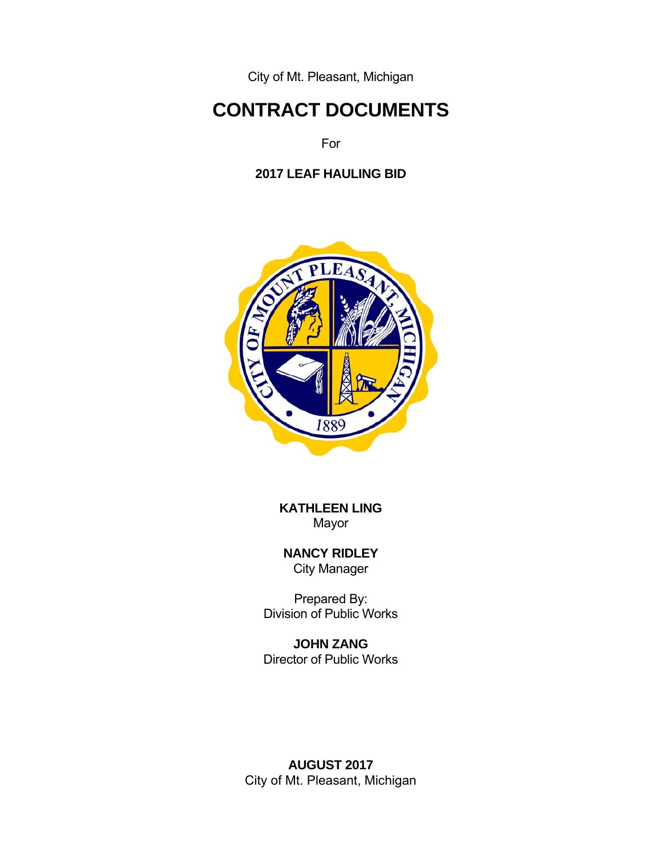City of Mt. Pleasant, Michigan

# **CONTRACT DOCUMENTS**

For

## **2017 LEAF HAULING BID**



**KATHLEEN LING**  Mayor

 **NANCY RIDLEY** City Manager

Prepared By: Division of Public Works

 **JOHN ZANG**  Director of Public Works

**AUGUST 2017** City of Mt. Pleasant, Michigan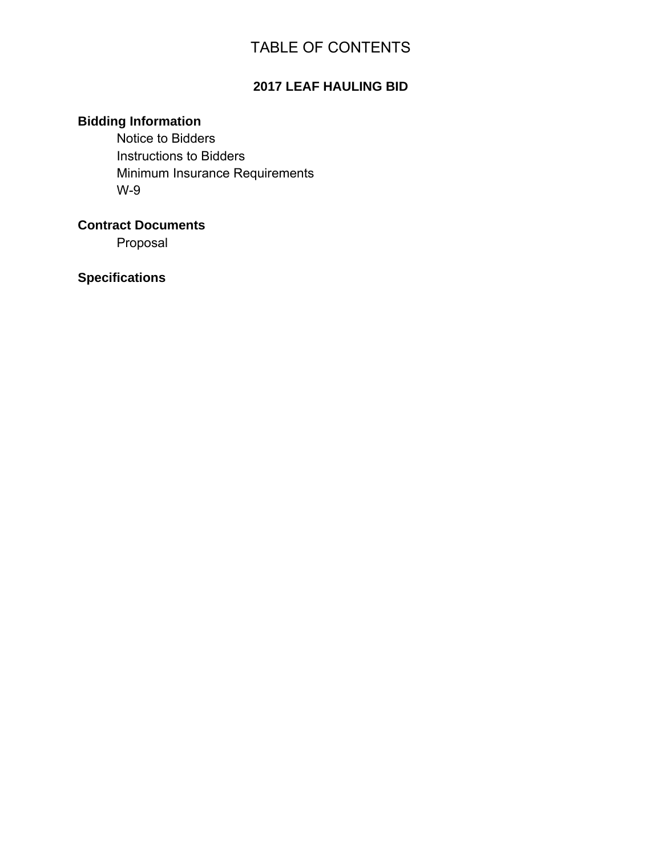# TABLE OF CONTENTS

# **2017 LEAF HAULING BID**

# **Bidding Information**

Notice to Bidders Instructions to Bidders Minimum Insurance Requirements W-9

**Contract Documents** 

Proposal

**Specifications**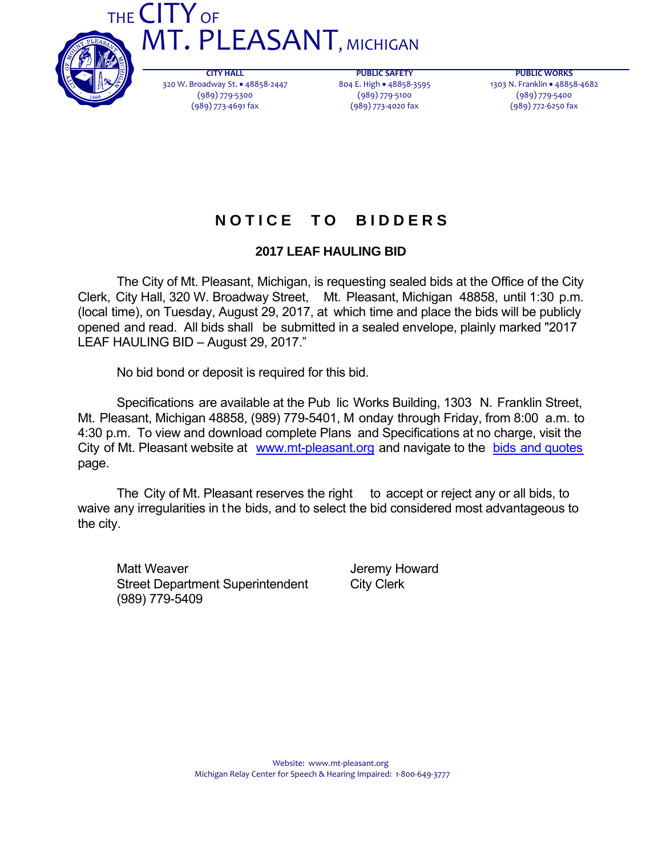



**CITY HALL** 320 W. Broadway St. 48858‐2447 (989) 779‐5300 (989) 773‐4691 fax

**PUBLIC SAFETY** 804 E. High · 48858-3595 (989) 779‐5100 (989) 773‐4020 fax

**PUBLIC WORKS** 1303 N. Franklin • 48858-4682 (989) 779‐5400 (989) 772‐6250 fax

# **N O T I C E T O B I D D E R S**

## **2017 LEAF HAULING BID**

 The City of Mt. Pleasant, Michigan, is requesting sealed bids at the Office of the City Clerk, City Hall, 320 W. Broadway Street, Mt. Pleasant, Michigan 48858, until 1:30 p.m. (local time), on Tuesday, August 29, 2017, at which time and place the bids will be publicly opened and read. All bids shall be submitted in a sealed envelope, plainly marked "2017 LEAF HAULING BID – August 29, 2017."

No bid bond or deposit is required for this bid.

 Specifications are available at the Pub lic Works Building, 1303 N. Franklin Street, Mt. Pleasant, Michigan 48858, (989) 779-5401, M onday through Friday, from 8:00 a.m. to 4:30 p.m. To view and download complete Plans and Specifications at no charge, visit the City of Mt. Pleasant website at www.mt-pleasant.org and navigate to the bids and quotes page.

The City of Mt. Pleasant reserves the right to accept or reject any or all bids, to waive any irregularities in the bids, and to select the bid considered most advantageous to the city.

Matt Weaver **Matt Weaver Jeremy Howard** Street Department Superintendent City Clerk (989) 779-5409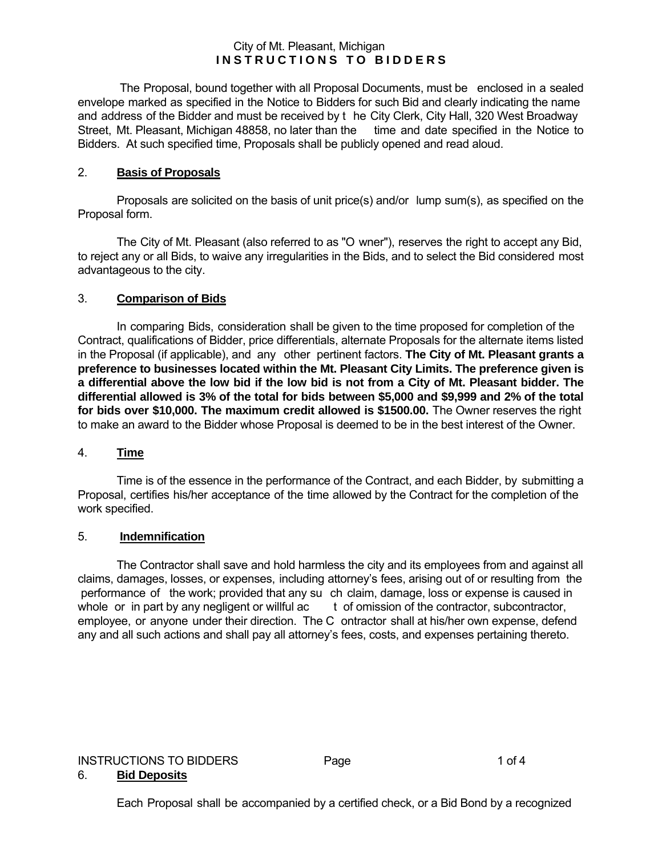#### City of Mt. Pleasant, Michigan **INSTRUCTIONS TO BIDDERS**

 The Proposal, bound together with all Proposal Documents, must be enclosed in a sealed envelope marked as specified in the Notice to Bidders for such Bid and clearly indicating the name and address of the Bidder and must be received by t he City Clerk, City Hall, 320 West Broadway<br>Street, Mt. Pleasant, Michigan 48858, no later than the time and date specified in the Notice to Street, Mt. Pleasant, Michigan 48858, no later than the Bidders. At such specified time, Proposals shall be publicly opened and read aloud.

#### 2. **Basis of Proposals**

 Proposals are solicited on the basis of unit price(s) and/or lump sum(s), as specified on the Proposal form.

 The City of Mt. Pleasant (also referred to as "O wner"), reserves the right to accept any Bid, to reject any or all Bids, to waive any irregularities in the Bids, and to select the Bid considered most advantageous to the city.

#### 3. **Comparison of Bids**

 In comparing Bids, consideration shall be given to the time proposed for completion of the Contract, qualifications of Bidder, price differentials, alternate Proposals for the alternate items listed in the Proposal (if applicable), and any other pertinent factors. **The City of Mt. Pleasant grants a preference to businesses located within the Mt. Pleasant City Limits. The preference given is a differential above the low bid if the low bid is not from a City of Mt. Pleasant bidder. The differential allowed is 3% of the total for bids between \$5,000 and \$9,999 and 2% of the total for bids over \$10,000. The maximum credit allowed is \$1500.00.** The Owner reserves the right to make an award to the Bidder whose Proposal is deemed to be in the best interest of the Owner.

#### 4. **Time**

 Time is of the essence in the performance of the Contract, and each Bidder, by submitting a Proposal, certifies his/her acceptance of the time allowed by the Contract for the completion of the work specified.

#### 5. **Indemnification**

 The Contractor shall save and hold harmless the city and its employees from and against all claims, damages, losses, or expenses, including attorney's fees, arising out of or resulting from the performance of the work; provided that any su ch claim, damage, loss or expense is caused in whole or in part by any negligent or willful ac t of omission of the contractor, subcontractor, t of omission of the contractor, subcontractor, employee, or anyone under their direction. The C ontractor shall at his/her own expense, defend any and all such actions and shall pay all attorney's fees, costs, and expenses pertaining thereto.

# INSTRUCTIONS TO BIDDERS Page 1 of 4

### 6. **Bid Deposits**

Each Proposal shall be accompanied by a certified check, or a Bid Bond by a recognized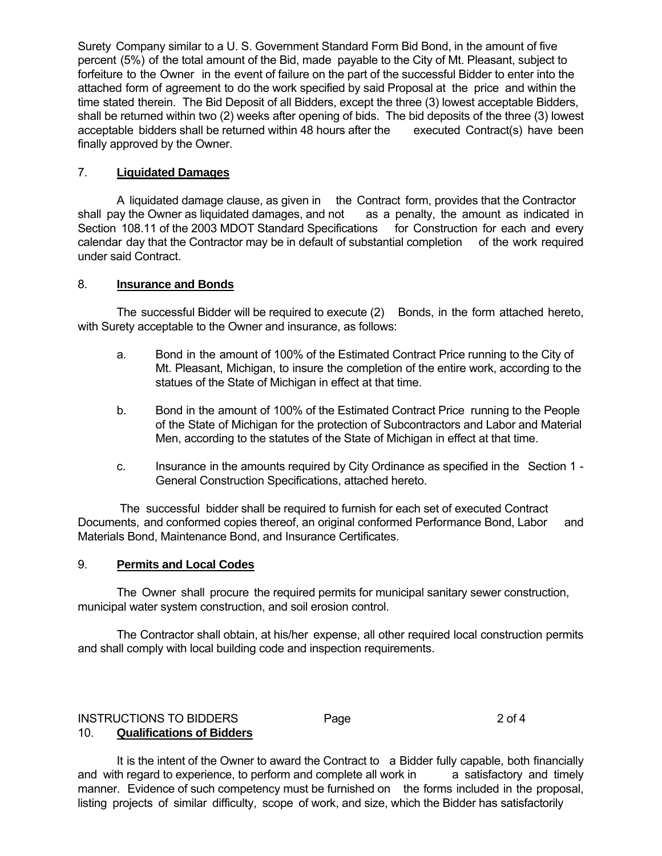Surety Company similar to a U. S. Government Standard Form Bid Bond, in the amount of five percent (5%) of the total amount of the Bid, made payable to the City of Mt. Pleasant, subject to forfeiture to the Owner in the event of failure on the part of the successful Bidder to enter into the attached form of agreement to do the work specified by said Proposal at the price and within the time stated therein. The Bid Deposit of all Bidders, except the three (3) lowest acceptable Bidders, shall be returned within two (2) weeks after opening of bids. The bid deposits of the three (3) lowest acceptable bidders shall be returned within 48 hours after the executed Contract(s) have been acceptable bidders shall be returned within 48 hours after the finally approved by the Owner.

#### 7. **Liquidated Damages**

 A liquidated damage clause, as given in the Contract form, provides that the Contractor shall pay the Owner as liquidated damages, and not as a penalty, the amount as indicated in Section 108.11 of the 2003 MDOT Standard Specifications for Construction for each and every calendar day that the Contractor may be in default of substantial completion of the work required under said Contract.

#### 8. **Insurance and Bonds**

 The successful Bidder will be required to execute (2) Bonds, in the form attached hereto, with Surety acceptable to the Owner and insurance, as follows:

- a. Bond in the amount of 100% of the Estimated Contract Price running to the City of Mt. Pleasant, Michigan, to insure the completion of the entire work, according to the statues of the State of Michigan in effect at that time.
- b. Bond in the amount of 100% of the Estimated Contract Price running to the People of the State of Michigan for the protection of Subcontractors and Labor and Material Men, according to the statutes of the State of Michigan in effect at that time.
- c. Insurance in the amounts required by City Ordinance as specified in the Section 1 General Construction Specifications, attached hereto.

 The successful bidder shall be required to furnish for each set of executed Contract Documents, and conformed copies thereof, an original conformed Performance Bond, Labor and Materials Bond, Maintenance Bond, and Insurance Certificates.

#### 9. **Permits and Local Codes**

The Owner shall procure the required permits for municipal sanitary sewer construction, municipal water system construction, and soil erosion control.

 The Contractor shall obtain, at his/her expense, all other required local construction permits and shall comply with local building code and inspection requirements.

#### INSTRUCTIONS TO BIDDERS Page 2 of 4 10. **Qualifications of Bidders**

 It is the intent of the Owner to award the Contract to a Bidder fully capable, both financially and with regard to experience, to perform and complete all work in a satisfactory and timely manner. Evidence of such competency must be furnished on the forms included in the proposal, listing projects of similar difficulty, scope of work, and size, which the Bidder has satisfactorily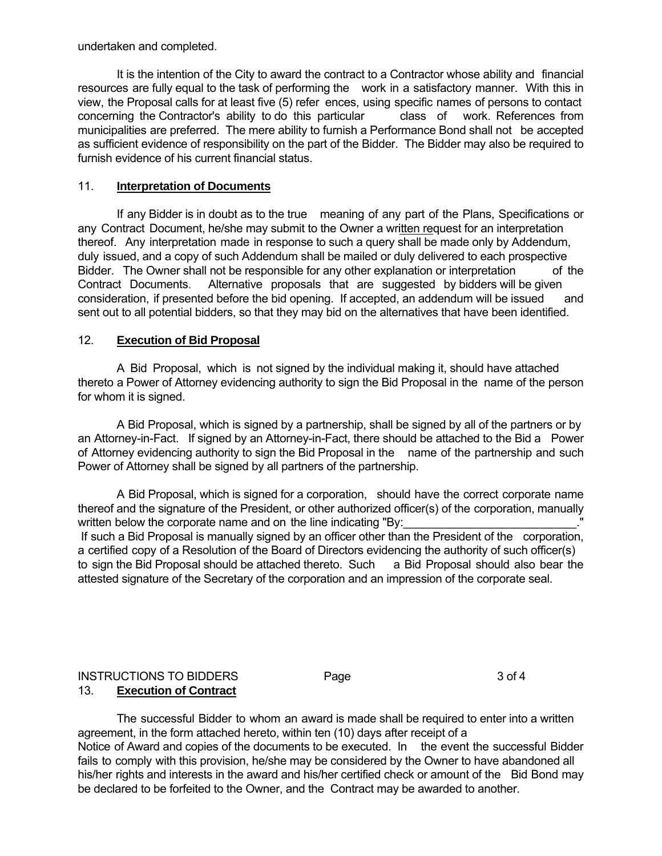undertaken and completed.

 It is the intention of the City to award the contract to a Contractor whose ability and financial resources are fully equal to the task of performing the work in a satisfactory manner. With this in view, the Proposal calls for at least five (5) refer ences, using specific names of persons to contact concerning the Contractor's ability to do this particular class of work. References from municipalities are preferred. The mere ability to furnish a Performance Bond shall not be accepted as sufficient evidence of responsibility on the part of the Bidder. The Bidder may also be required to furnish evidence of his current financial status.

#### 11. **Interpretation of Documents**

 If any Bidder is in doubt as to the true meaning of any part of the Plans, Specifications or any Contract Document, he/she may submit to the Owner a written request for an interpretation thereof. Any interpretation made in response to such a query shall be made only by Addendum, duly issued, and a copy of such Addendum shall be mailed or duly delivered to each prospective Bidder. The Owner shall not be responsible for any other explanation or interpretation of the Contract Documents. Alternative proposals that are suggested by bidders will be given consideration, if presented before the bid opening. If accepted, an addendum will be issued and sent out to all potential bidders, so that they may bid on the alternatives that have been identified.

#### 12. **Execution of Bid Proposal**

 A Bid Proposal, which is not signed by the individual making it, should have attached thereto a Power of Attorney evidencing authority to sign the Bid Proposal in the name of the person for whom it is signed.

 A Bid Proposal, which is signed by a partnership, shall be signed by all of the partners or by an Attorney-in-Fact. If signed by an Attorney-in-Fact, there should be attached to the Bid a Power of Attorney evidencing authority to sign the Bid Proposal in the name of the partnership and such Power of Attorney shall be signed by all partners of the partnership.

 A Bid Proposal, which is signed for a corporation, should have the correct corporate name thereof and the signature of the President, or other authorized officer(s) of the corporation, manually written below the corporate name and on the line indicating "By: If such a Bid Proposal is manually signed by an officer other than the President of the corporation, a certified copy of a Resolution of the Board of Directors evidencing the authority of such officer(s) to sign the Bid Proposal should be attached thereto. Such a Bid Proposal should also bear the attested signature of the Secretary of the corporation and an impression of the corporate seal.

#### INSTRUCTIONS TO BIDDERS Page 3 of 4 13. **Execution of Contract**

 The successful Bidder to whom an award is made shall be required to enter into a written agreement, in the form attached hereto, within ten (10) days after receipt of a Notice of Award and copies of the documents to be executed. In the event the successful Bidder fails to comply with this provision, he/she may be considered by the Owner to have abandoned all his/her rights and interests in the award and his/her certified check or amount of the Bid Bond may be declared to be forfeited to the Owner, and the Contract may be awarded to another.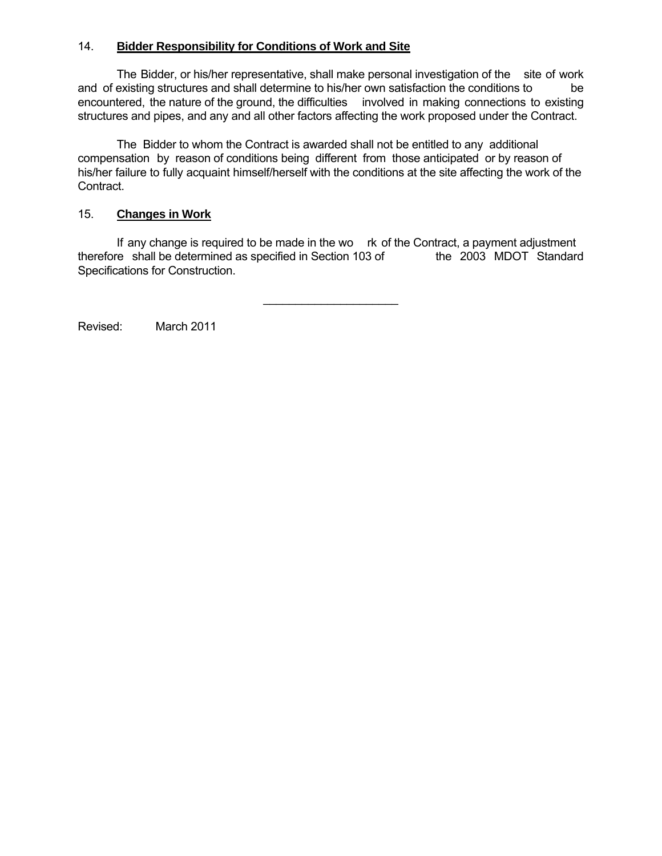#### 14. **Bidder Responsibility for Conditions of Work and Site**

 The Bidder, or his/her representative, shall make personal investigation of the site of work and of existing structures and shall determine to his/her own satisfaction the conditions to be encountered, the nature of the ground, the difficulties involved in making connections to existing structures and pipes, and any and all other factors affecting the work proposed under the Contract.

 The Bidder to whom the Contract is awarded shall not be entitled to any additional compensation by reason of conditions being different from those anticipated or by reason of his/her failure to fully acquaint himself/herself with the conditions at the site affecting the work of the Contract.

#### 15. **Changes in Work**

If any change is required to be made in the wo rk of the Contract, a payment adjustment<br>re shall be determined as specified in Section 103 of the 2003 MDOT Standard therefore shall be determined as specified in Section 103 of Specifications for Construction.

\_\_\_\_\_\_\_\_\_\_\_\_\_\_\_\_\_\_\_\_\_

Revised: March 2011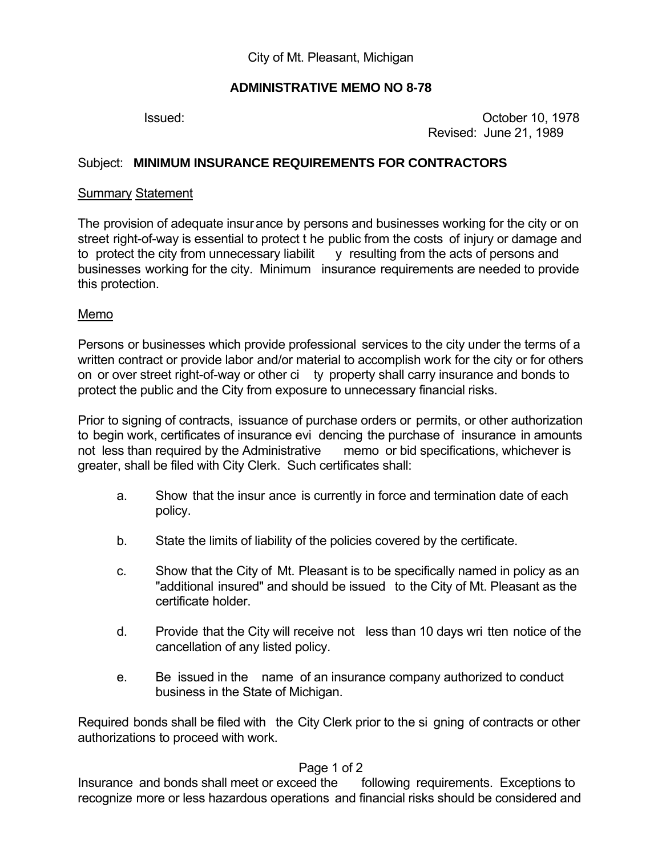### **ADMINISTRATIVE MEMO NO 8-78**

 Issued: October 10, 1978 Revised: June 21, 1989

### Subject: **MINIMUM INSURANCE REQUIREMENTS FOR CONTRACTORS**

#### Summary Statement

The provision of adequate insurance by persons and businesses working for the city or on street right-of-way is essential to protect t he public from the costs of injury or damage and to protect the city from unnecessary liabilit y resulting from the acts of persons and businesses working for the city. Minimum insurance requirements are needed to provide this protection.

#### Memo

Persons or businesses which provide professional services to the city under the terms of a written contract or provide labor and/or material to accomplish work for the city or for others on or over street right-of-way or other ci ty property shall carry insurance and bonds to protect the public and the City from exposure to unnecessary financial risks.

Prior to signing of contracts, issuance of purchase orders or permits, or other authorization to begin work, certificates of insurance evi dencing the purchase of insurance in amounts not less than required by the Administrative memo or bid specifications, whichever is greater, shall be filed with City Clerk. Such certificates shall:

- a. Show that the insur ance is currently in force and termination date of each policy.
- b. State the limits of liability of the policies covered by the certificate.
- c. Show that the City of Mt. Pleasant is to be specifically named in policy as an "additional insured" and should be issued to the City of Mt. Pleasant as the certificate holder.
- d. Provide that the City will receive not less than 10 days wri tten notice of the cancellation of any listed policy.
- e. Be issued in the name of an insurance company authorized to conduct business in the State of Michigan.

Required bonds shall be filed with the City Clerk prior to the si gning of contracts or other authorizations to proceed with work.

#### Page 1 of 2

Insurance and bonds shall meet or exceed the following requirements. Exceptions to recognize more or less hazardous operations and financial risks should be considered and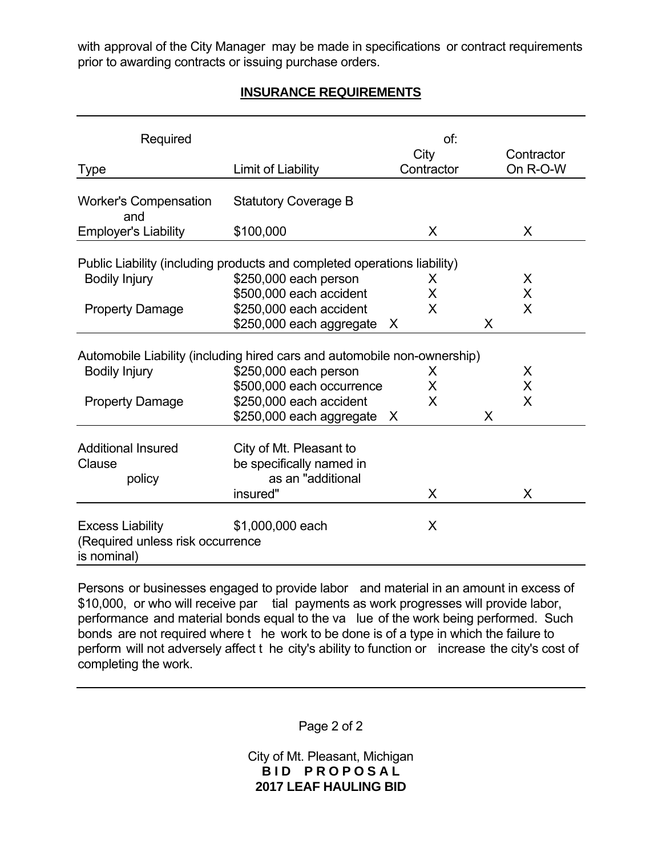with approval of the City Manager may be made in specifications or contract requirements prior to awarding contracts or issuing purchase orders.

## **INSURANCE REQUIREMENTS**

| Required                                                                   |                                                                                                                              | of:<br>City | Contractor |
|----------------------------------------------------------------------------|------------------------------------------------------------------------------------------------------------------------------|-------------|------------|
| <b>Type</b>                                                                | Limit of Liability                                                                                                           | Contractor  | On R-O-W   |
| <b>Worker's Compensation</b><br>and                                        | <b>Statutory Coverage B</b>                                                                                                  |             |            |
| <b>Employer's Liability</b>                                                | \$100,000                                                                                                                    | X           |            |
| <b>Bodily Injury</b>                                                       | Public Liability (including products and completed operations liability)<br>\$250,000 each person<br>\$500,000 each accident | X<br>X      | X<br>X     |
| <b>Property Damage</b>                                                     | \$250,000 each accident<br>\$250,000 each aggregate                                                                          | X<br>X      | X<br>X     |
|                                                                            | Automobile Liability (including hired cars and automobile non-ownership)                                                     |             |            |
| <b>Bodily Injury</b>                                                       | \$250,000 each person<br>\$500,000 each occurrence                                                                           | X<br>X      | X<br>X     |
| <b>Property Damage</b>                                                     | \$250,000 each accident<br>\$250,000 each aggregate X                                                                        | X           | X<br>X     |
| <b>Additional Insured</b><br>Clause<br>policy                              | City of Mt. Pleasant to<br>be specifically named in<br>as an "additional<br>insured"                                         | X           | X          |
| <b>Excess Liability</b><br>(Required unless risk occurrence<br>is nominal) | \$1,000,000 each                                                                                                             | X           |            |

Persons or businesses engaged to provide labor and material in an amount in excess of \$10,000, or who will receive par tial payments as work progresses will provide labor, performance and material bonds equal to the va lue of the work being performed. Such bonds are not required where t he work to be done is of a type in which the failure to perform will not adversely affect t he city's ability to function or increase the city's cost of completing the work.

Page 2 of 2

City of Mt. Pleasant, Michigan **BID PROPOSAL 2017 LEAF HAULING BID**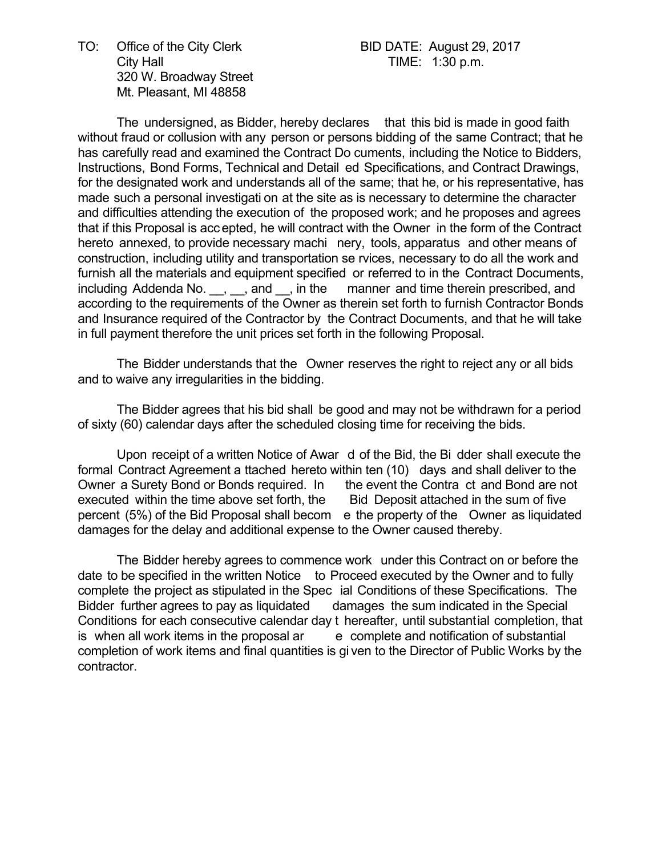TO: Office of the City Clerk BID DATE: August 29, 2017 City Hall **City Hall TIME:** 1:30 p.m. 320 W. Broadway Street Mt. Pleasant, MI 48858

 The undersigned, as Bidder, hereby declares that this bid is made in good faith without fraud or collusion with any person or persons bidding of the same Contract; that he has carefully read and examined the Contract Do cuments, including the Notice to Bidders, Instructions, Bond Forms, Technical and Detail ed Specifications, and Contract Drawings, for the designated work and understands all of the same; that he, or his representative, has made such a personal investigati on at the site as is necessary to determine the character and difficulties attending the execution of the proposed work; and he proposes and agrees that if this Proposal is accepted, he will contract with the Owner in the form of the Contract hereto annexed, to provide necessary machi nery, tools, apparatus and other means of construction, including utility and transportation se rvices, necessary to do all the work and furnish all the materials and equipment specified or referred to in the Contract Documents, including Addenda No. \_\_, \_\_, and \_\_, in the manner and time therein prescribed, and according to the requirements of the Owner as therein set forth to furnish Contractor Bonds and Insurance required of the Contractor by the Contract Documents, and that he will take in full payment therefore the unit prices set forth in the following Proposal.

 The Bidder understands that the Owner reserves the right to reject any or all bids and to waive any irregularities in the bidding.

 The Bidder agrees that his bid shall be good and may not be withdrawn for a period of sixty (60) calendar days after the scheduled closing time for receiving the bids.

 Upon receipt of a written Notice of Awar d of the Bid, the Bi dder shall execute the formal Contract Agreement a ttached hereto within ten (10) days and shall deliver to the Owner a Surety Bond or Bonds required. In the event the Contra ct and Bond are not executed within the time above set forth, the Bid Deposit attached in the sum of five percent (5%) of the Bid Proposal shall becom e the property of the Owner as liquidated damages for the delay and additional expense to the Owner caused thereby.

 The Bidder hereby agrees to commence work under this Contract on or before the date to be specified in the written Notice to Proceed executed by the Owner and to fully complete the project as stipulated in the Spec ial Conditions of these Specifications. The Bidder further agrees to pay as liquidated damages the sum indicated in the Special Conditions for each consecutive calendar day t hereafter, until substantial completion, that is when all work items in the proposal  $ar$  e complete and notification of substantial completion of work items and final quantities is gi ven to the Director of Public Works by the contractor.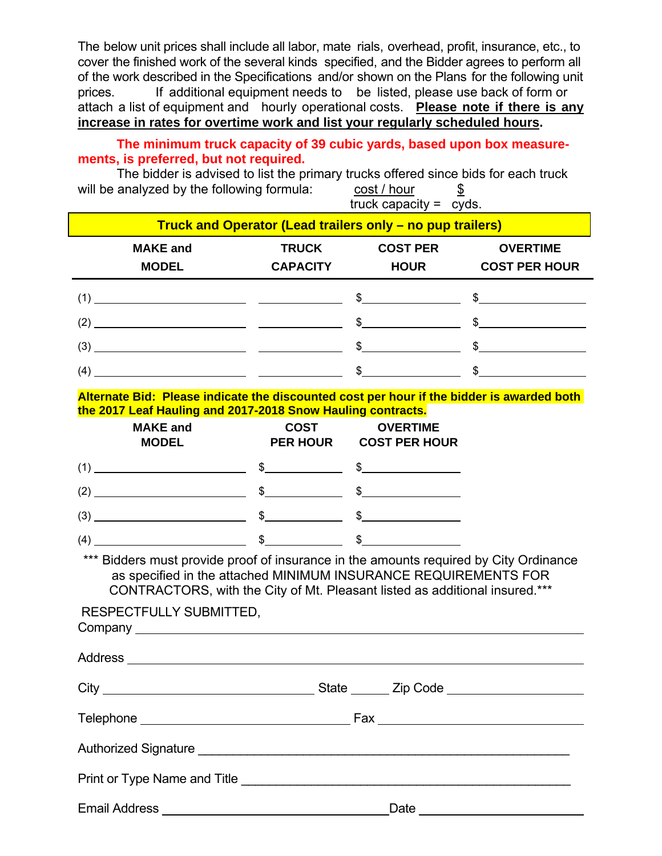The below unit prices shall include all labor, mate rials, overhead, profit, insurance, etc., to cover the finished work of the several kinds specified, and the Bidder agrees to perform all of the work described in the Specifications and/or shown on the Plans for the following unit prices. If additional equipment needs to be listed, please use back of form or attach a list of equipment and hourly operational costs. **Please note if there is any increase in rates for overtime work and list your regularly scheduled hours.** 

### **The minimum truck capacity of 39 cubic yards, based upon box measurements, is preferred, but not required.**

The bidder is advised to list the primary trucks offered since bids for each truck will be analyzed by the following formula: cost / hour  $\frac{\$}{}$ truck capacity = cyds.

| Truck and Operator (Lead trailers only – no pup trailers)                                                                                                                                                                                                                                                                                                                                                                                                 |                 |                                           |                      |  |  |  |
|-----------------------------------------------------------------------------------------------------------------------------------------------------------------------------------------------------------------------------------------------------------------------------------------------------------------------------------------------------------------------------------------------------------------------------------------------------------|-----------------|-------------------------------------------|----------------------|--|--|--|
| <b>MAKE</b> and                                                                                                                                                                                                                                                                                                                                                                                                                                           | <b>TRUCK</b>    | <b>COST PER</b>                           | <b>OVERTIME</b>      |  |  |  |
| <b>MODEL</b>                                                                                                                                                                                                                                                                                                                                                                                                                                              | <b>CAPACITY</b> | <b>HOUR</b>                               | <b>COST PER HOUR</b> |  |  |  |
| $(1)$ 5 5 5                                                                                                                                                                                                                                                                                                                                                                                                                                               |                 |                                           |                      |  |  |  |
| $(2)$ \$                                                                                                                                                                                                                                                                                                                                                                                                                                                  |                 |                                           |                      |  |  |  |
| $(3)$ \$ \$                                                                                                                                                                                                                                                                                                                                                                                                                                               |                 |                                           |                      |  |  |  |
| $(4)$ $$$                                                                                                                                                                                                                                                                                                                                                                                                                                                 |                 |                                           |                      |  |  |  |
| Alternate Bid: Please indicate the discounted cost per hour if the bidder is awarded both                                                                                                                                                                                                                                                                                                                                                                 |                 |                                           |                      |  |  |  |
| the 2017 Leaf Hauling and 2017-2018 Snow Hauling contracts.                                                                                                                                                                                                                                                                                                                                                                                               |                 |                                           |                      |  |  |  |
| <b>MAKE and</b><br><b>MODEL</b>                                                                                                                                                                                                                                                                                                                                                                                                                           | <b>COST</b>     | <b>OVERTIME</b><br>PER HOUR COST PER HOUR |                      |  |  |  |
| $(1)$ $\frac{1}{2}$ $\frac{1}{2}$ $\frac{1}{2}$ $\frac{1}{2}$ $\frac{1}{2}$ $\frac{1}{2}$ $\frac{1}{2}$ $\frac{1}{2}$ $\frac{1}{2}$ $\frac{1}{2}$ $\frac{1}{2}$ $\frac{1}{2}$ $\frac{1}{2}$ $\frac{1}{2}$ $\frac{1}{2}$ $\frac{1}{2}$ $\frac{1}{2}$ $\frac{1}{2}$ $\frac{1}{2}$ $\frac{1}{2}$ $\frac{1}{2}$ $\frac{1$                                                                                                                                     |                 |                                           |                      |  |  |  |
| $(2)$ $\overline{\hspace{1cm}}$ $\overline{\hspace{1cm}}$ $\overline{\hspace{1cm}}$ $\overline{\hspace{1cm}}$ $\overline{\hspace{1cm}}$ $\overline{\hspace{1cm}}$ $\overline{\hspace{1cm}}$ $\overline{\hspace{1cm}}$ $\overline{\hspace{1cm}}$ $\overline{\hspace{1cm}}$ $\overline{\hspace{1cm}}$ $\overline{\hspace{1cm}}$ $\overline{\hspace{1cm}}$ $\overline{\hspace{1cm}}$ $\overline{\hspace{1cm}}$ $\overline{\hspace{1cm}}$ $\overline{\hspace$ |                 |                                           |                      |  |  |  |
| $(3)$ $\overbrace{\hspace{2.5cm}}^{3}$ $\overbrace{\hspace{2.5cm}}^{3}$ $\overbrace{\hspace{2.5cm}}^{3}$                                                                                                                                                                                                                                                                                                                                                  |                 |                                           |                      |  |  |  |
| $(4)$ \$ \$                                                                                                                                                                                                                                                                                                                                                                                                                                               |                 |                                           |                      |  |  |  |
| *** Bidders must provide proof of insurance in the amounts required by City Ordinance<br>as specified in the attached MINIMUM INSURANCE REQUIREMENTS FOR<br>CONTRACTORS, with the City of Mt. Pleasant listed as additional insured.***                                                                                                                                                                                                                   |                 |                                           |                      |  |  |  |
| RESPECTFULLY SUBMITTED,                                                                                                                                                                                                                                                                                                                                                                                                                                   |                 |                                           |                      |  |  |  |
|                                                                                                                                                                                                                                                                                                                                                                                                                                                           |                 |                                           |                      |  |  |  |
|                                                                                                                                                                                                                                                                                                                                                                                                                                                           |                 |                                           |                      |  |  |  |
|                                                                                                                                                                                                                                                                                                                                                                                                                                                           |                 |                                           |                      |  |  |  |
|                                                                                                                                                                                                                                                                                                                                                                                                                                                           |                 |                                           |                      |  |  |  |
|                                                                                                                                                                                                                                                                                                                                                                                                                                                           |                 |                                           |                      |  |  |  |
|                                                                                                                                                                                                                                                                                                                                                                                                                                                           |                 |                                           |                      |  |  |  |
|                                                                                                                                                                                                                                                                                                                                                                                                                                                           |                 |                                           |                      |  |  |  |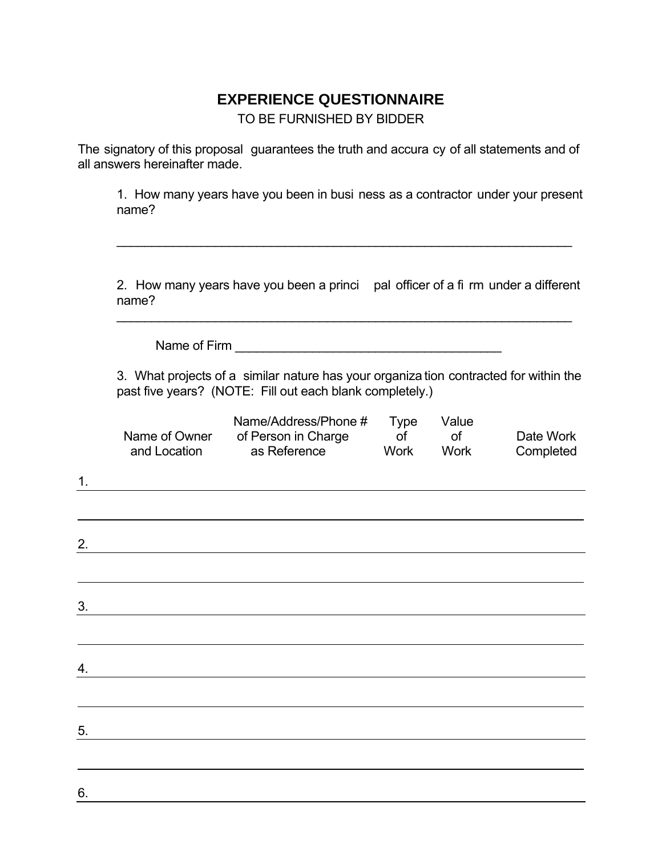# **EXPERIENCE QUESTIONNAIRE**

TO BE FURNISHED BY BIDDER

The signatory of this proposal guarantees the truth and accura cy of all statements and of all answers hereinafter made.

 $\overline{\phantom{a}}$  , and the contribution of the contribution of the contribution of the contribution of the contribution of the contribution of the contribution of the contribution of the contribution of the contribution of the

 1. How many years have you been in busi ness as a contractor under your present name?

 2. How many years have you been a princi pal officer of a fi rm under a different name?

Name of Firm \_\_\_\_\_\_\_\_\_\_\_\_\_\_\_\_\_\_\_\_\_\_\_\_\_\_\_\_\_\_\_\_\_\_\_\_\_\_

 3. What projects of a similar nature has your organiza tion contracted for within the past five years? (NOTE: Fill out each blank completely.)

| 1. | Name of Owner<br>and Location | Name/Address/Phone #<br>of Person in Charge<br>as Reference | <b>Type</b><br>of<br><b>Work</b> | Value<br>$\circ$ f<br><b>Work</b> | Date Work<br>Completed |
|----|-------------------------------|-------------------------------------------------------------|----------------------------------|-----------------------------------|------------------------|
|    |                               |                                                             |                                  |                                   |                        |
|    |                               |                                                             |                                  |                                   |                        |
| 2. |                               |                                                             |                                  |                                   |                        |
|    |                               |                                                             |                                  |                                   |                        |
| 3. |                               |                                                             |                                  |                                   |                        |
|    |                               |                                                             |                                  |                                   |                        |
| 4. |                               |                                                             |                                  |                                   |                        |
|    |                               |                                                             |                                  |                                   |                        |
|    |                               |                                                             |                                  |                                   |                        |
| 5. |                               |                                                             |                                  |                                   |                        |
|    |                               |                                                             |                                  |                                   |                        |
| 6. |                               |                                                             |                                  |                                   |                        |